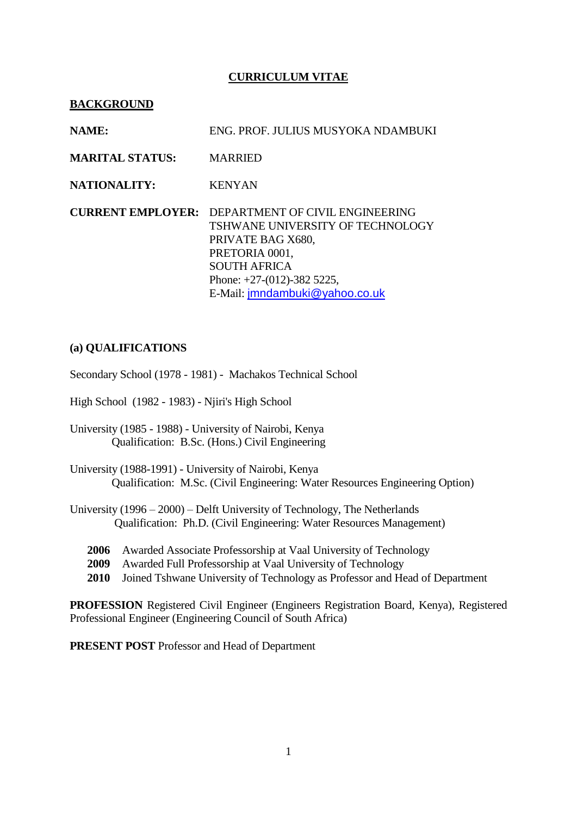# **CURRICULUM VITAE**

### **BACKGROUND**

| <b>NAME:</b>           | ENG. PROF. JULIUS MUSYOKA NDAMBUKI                                                                                                                                                                                           |
|------------------------|------------------------------------------------------------------------------------------------------------------------------------------------------------------------------------------------------------------------------|
| <b>MARITAL STATUS:</b> | <b>MARRIED</b>                                                                                                                                                                                                               |
| <b>NATIONALITY:</b>    | <b>KENYAN</b>                                                                                                                                                                                                                |
|                        | <b>CURRENT EMPLOYER: DEPARTMENT OF CIVIL ENGINEERING</b><br>TSHWANE UNIVERSITY OF TECHNOLOGY<br>PRIVATE BAG X680,<br>PRETORIA 0001,<br><b>SOUTH AFRICA</b><br>Phone: $+27-(012)-3825225$ ,<br>E-Mail: jmndambuki@yahoo.co.uk |

### **(a) QUALIFICATIONS**

Secondary School (1978 - 1981) - Machakos Technical School

High School (1982 - 1983) - Njiri's High School

University (1985 - 1988) - University of Nairobi, Kenya Qualification: B.Sc. (Hons.) Civil Engineering

University (1988-1991) - University of Nairobi, Kenya Qualification: M.Sc. (Civil Engineering: Water Resources Engineering Option)

University (1996 – 2000) – Delft University of Technology, The Netherlands Qualification: Ph.D. (Civil Engineering: Water Resources Management)

- **2006** Awarded Associate Professorship at Vaal University of Technology
- **2009** Awarded Full Professorship at Vaal University of Technology
- **2010** Joined Tshwane University of Technology as Professor and Head of Department

**PROFESSION** Registered Civil Engineer (Engineers Registration Board, Kenya), Registered Professional Engineer (Engineering Council of South Africa)

**PRESENT POST** Professor and Head of Department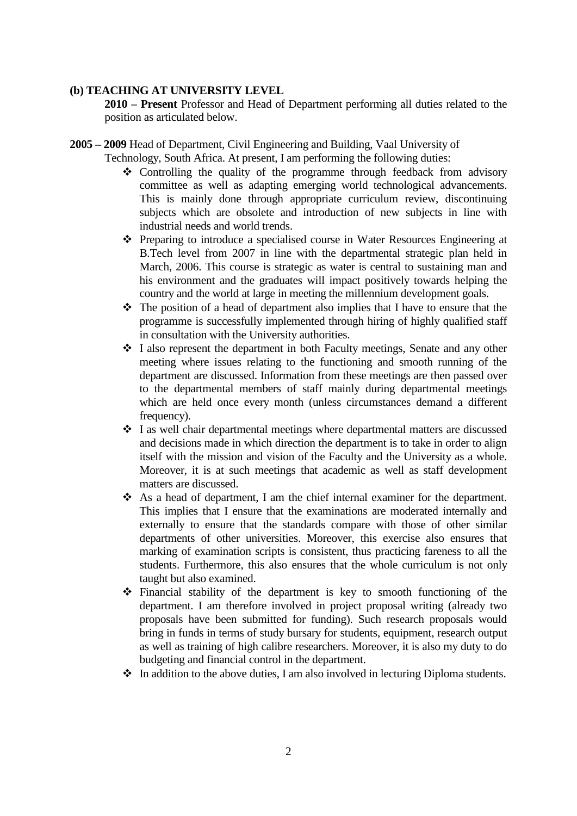### **(b) TEACHING AT UNIVERSITY LEVEL**

**2010 – Present** Professor and Head of Department performing all duties related to the position as articulated below.

# **2005 – 2009** Head of Department, Civil Engineering and Building, Vaal University of

Technology, South Africa. At present, I am performing the following duties:

- Controlling the quality of the programme through feedback from advisory committee as well as adapting emerging world technological advancements. This is mainly done through appropriate curriculum review, discontinuing subjects which are obsolete and introduction of new subjects in line with industrial needs and world trends.
- Preparing to introduce a specialised course in Water Resources Engineering at B.Tech level from 2007 in line with the departmental strategic plan held in March, 2006. This course is strategic as water is central to sustaining man and his environment and the graduates will impact positively towards helping the country and the world at large in meeting the millennium development goals.
- $\triangle$  The position of a head of department also implies that I have to ensure that the programme is successfully implemented through hiring of highly qualified staff in consultation with the University authorities.
- I also represent the department in both Faculty meetings, Senate and any other meeting where issues relating to the functioning and smooth running of the department are discussed. Information from these meetings are then passed over to the departmental members of staff mainly during departmental meetings which are held once every month (unless circumstances demand a different frequency).
- I as well chair departmental meetings where departmental matters are discussed and decisions made in which direction the department is to take in order to align itself with the mission and vision of the Faculty and the University as a whole. Moreover, it is at such meetings that academic as well as staff development matters are discussed.
- As a head of department, I am the chief internal examiner for the department. This implies that I ensure that the examinations are moderated internally and externally to ensure that the standards compare with those of other similar departments of other universities. Moreover, this exercise also ensures that marking of examination scripts is consistent, thus practicing fareness to all the students. Furthermore, this also ensures that the whole curriculum is not only taught but also examined.
- Financial stability of the department is key to smooth functioning of the department. I am therefore involved in project proposal writing (already two proposals have been submitted for funding). Such research proposals would bring in funds in terms of study bursary for students, equipment, research output as well as training of high calibre researchers. Moreover, it is also my duty to do budgeting and financial control in the department.
- $\cdot \cdot$  In addition to the above duties. I am also involved in lecturing Diploma students.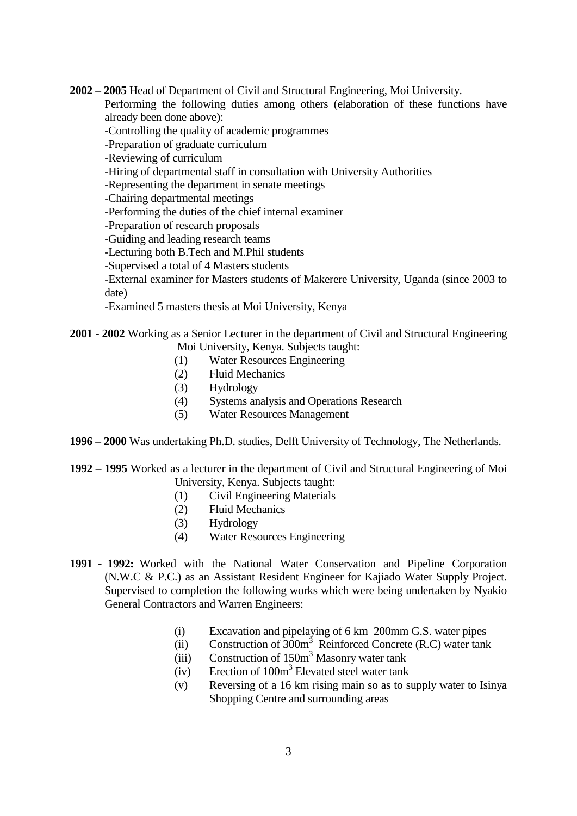**2002 – 2005** Head of Department of Civil and Structural Engineering, Moi University. Performing the following duties among others (elaboration of these functions have

already been done above):

-Controlling the quality of academic programmes

-Preparation of graduate curriculum

-Reviewing of curriculum

-Hiring of departmental staff in consultation with University Authorities

-Representing the department in senate meetings

-Chairing departmental meetings

-Performing the duties of the chief internal examiner

-Preparation of research proposals

-Guiding and leading research teams

-Lecturing both B.Tech and M.Phil students

-Supervised a total of 4 Masters students

-External examiner for Masters students of Makerere University, Uganda (since 2003 to date)

-Examined 5 masters thesis at Moi University, Kenya

# **2001 - 2002** Working as a Senior Lecturer in the department of Civil and Structural Engineering Moi University, Kenya. Subjects taught:

- (1) Water Resources Engineering
- (2) Fluid Mechanics
- (3) Hydrology
- (4) Systems analysis and Operations Research
- (5) Water Resources Management
- **1996 – 2000** Was undertaking Ph.D. studies, Delft University of Technology, The Netherlands.
- **1992 – 1995** Worked as a lecturer in the department of Civil and Structural Engineering of Moi University, Kenya. Subjects taught:
	- (1) Civil Engineering Materials
	- (2) Fluid Mechanics
	- (3) Hydrology
	- (4) Water Resources Engineering
- **1991 1992:** Worked with the National Water Conservation and Pipeline Corporation (N.W.C & P.C.) as an Assistant Resident Engineer for Kajiado Water Supply Project. Supervised to completion the following works which were being undertaken by Nyakio General Contractors and Warren Engineers:
	- (i) Excavation and pipelaying of 6 km 200mm G.S. water pipes
	- (ii) Construction of 300m<sup>3</sup> Reinforced Concrete (R.C) water tank
	- (iii) Construction of 150m<sup>3</sup> Masonry water tank
	- (iv) Erection of 100m<sup>3</sup> Elevated steel water tank
	- (v) Reversing of a 16 km rising main so as to supply water to Isinya Shopping Centre and surrounding areas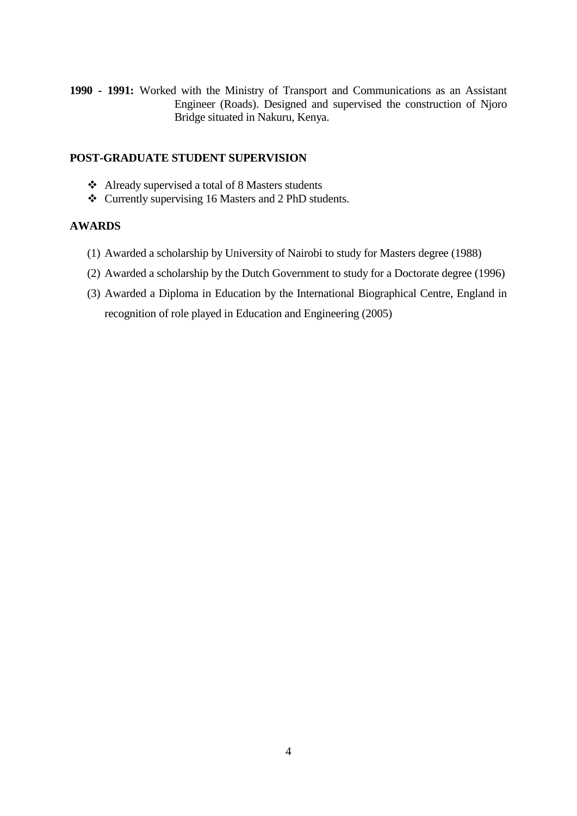**1990 - 1991:** Worked with the Ministry of Transport and Communications as an Assistant Engineer (Roads). Designed and supervised the construction of Njoro Bridge situated in Nakuru, Kenya.

# **POST-GRADUATE STUDENT SUPERVISION**

- Already supervised a total of 8 Masters students
- Currently supervising 16 Masters and 2 PhD students.

### **AWARDS**

- (1) Awarded a scholarship by University of Nairobi to study for Masters degree (1988)
- (2) Awarded a scholarship by the Dutch Government to study for a Doctorate degree (1996)
- (3) Awarded a Diploma in Education by the International Biographical Centre, England in recognition of role played in Education and Engineering (2005)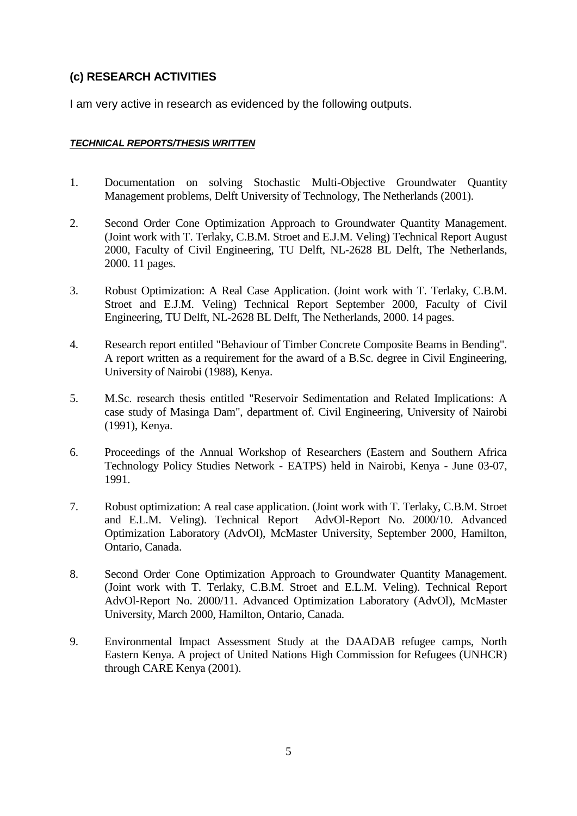# **(c) RESEARCH ACTIVITIES**

I am very active in research as evidenced by the following outputs.

### *TECHNICAL REPORTS/THESIS WRITTEN*

- 1. Documentation on solving Stochastic Multi-Objective Groundwater Quantity Management problems, Delft University of Technology, The Netherlands (2001).
- 2. Second Order Cone Optimization Approach to Groundwater Quantity Management. (Joint work with T. Terlaky, C.B.M. Stroet and E.J.M. Veling) Technical Report August 2000, Faculty of Civil Engineering, TU Delft, NL-2628 BL Delft, The Netherlands, 2000. 11 pages.
- 3. Robust Optimization: A Real Case Application. (Joint work with T. Terlaky, C.B.M. Stroet and E.J.M. Veling) Technical Report September 2000, Faculty of Civil Engineering, TU Delft, NL-2628 BL Delft, The Netherlands, 2000. 14 pages.
- 4. Research report entitled "Behaviour of Timber Concrete Composite Beams in Bending". A report written as a requirement for the award of a B.Sc. degree in Civil Engineering, University of Nairobi (1988), Kenya.
- 5. M.Sc. research thesis entitled "Reservoir Sedimentation and Related Implications: A case study of Masinga Dam", department of. Civil Engineering, University of Nairobi (1991), Kenya.
- 6. Proceedings of the Annual Workshop of Researchers (Eastern and Southern Africa Technology Policy Studies Network - EATPS) held in Nairobi, Kenya - June 03-07, 1991.
- 7. Robust optimization: A real case application. (Joint work with T. Terlaky, C.B.M. Stroet and E.L.M. Veling). Technical Report AdvOl-Report No. 2000/10. Advanced Optimization Laboratory (AdvOl), McMaster University, September 2000, Hamilton, Ontario, Canada.
- 8. Second Order Cone Optimization Approach to Groundwater Quantity Management. (Joint work with T. Terlaky, C.B.M. Stroet and E.L.M. Veling). Technical Report AdvOl-Report No. 2000/11. Advanced Optimization Laboratory (AdvOl), McMaster University, March 2000, Hamilton, Ontario, Canada.
- 9. Environmental Impact Assessment Study at the DAADAB refugee camps, North Eastern Kenya. A project of United Nations High Commission for Refugees (UNHCR) through CARE Kenya (2001).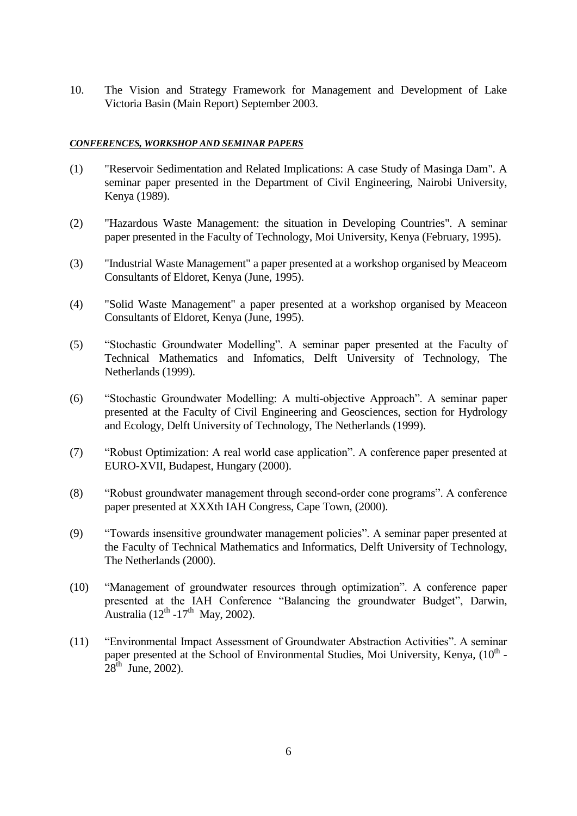10. The Vision and Strategy Framework for Management and Development of Lake Victoria Basin (Main Report) September 2003.

#### *CONFERENCES, WORKSHOP AND SEMINAR PAPERS*

- (1) "Reservoir Sedimentation and Related Implications: A case Study of Masinga Dam". A seminar paper presented in the Department of Civil Engineering, Nairobi University, Kenya (1989).
- (2) "Hazardous Waste Management: the situation in Developing Countries". A seminar paper presented in the Faculty of Technology, Moi University, Kenya (February, 1995).
- (3) "Industrial Waste Management" a paper presented at a workshop organised by Meaceom Consultants of Eldoret, Kenya (June, 1995).
- (4) "Solid Waste Management" a paper presented at a workshop organised by Meaceon Consultants of Eldoret, Kenya (June, 1995).
- (5) "Stochastic Groundwater Modelling". A seminar paper presented at the Faculty of Technical Mathematics and Infomatics, Delft University of Technology, The Netherlands (1999).
- (6) "Stochastic Groundwater Modelling: A multi-objective Approach". A seminar paper presented at the Faculty of Civil Engineering and Geosciences, section for Hydrology and Ecology, Delft University of Technology, The Netherlands (1999).
- (7) "Robust Optimization: A real world case application". A conference paper presented at EURO-XVII, Budapest, Hungary (2000).
- (8) "Robust groundwater management through second-order cone programs". A conference paper presented at XXXth IAH Congress, Cape Town, (2000).
- (9) "Towards insensitive groundwater management policies". A seminar paper presented at the Faculty of Technical Mathematics and Informatics, Delft University of Technology, The Netherlands (2000).
- (10) "Management of groundwater resources through optimization". A conference paper presented at the IAH Conference "Balancing the groundwater Budget", Darwin, Australia (12<sup>th</sup> -17<sup>th</sup> May, 2002).
- (11) "Environmental Impact Assessment of Groundwater Abstraction Activities". A seminar paper presented at the School of Environmental Studies, Moi University, Kenya,  $(10<sup>th</sup> 28^{th}$  June, 2002).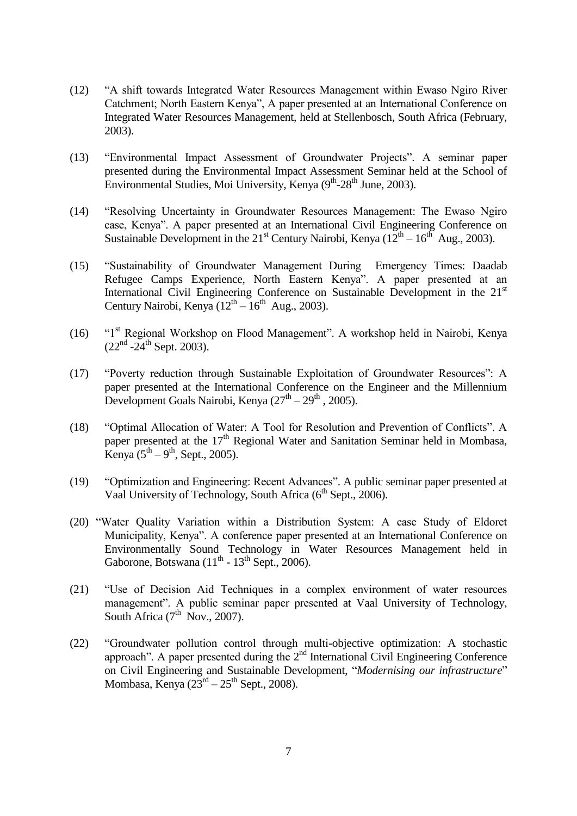- (12) "A shift towards Integrated Water Resources Management within Ewaso Ngiro River Catchment; North Eastern Kenya", A paper presented at an International Conference on Integrated Water Resources Management, held at Stellenbosch, South Africa (February, 2003).
- (13) "Environmental Impact Assessment of Groundwater Projects". A seminar paper presented during the Environmental Impact Assessment Seminar held at the School of Environmental Studies, Moi University, Kenya (9<sup>th</sup>-28<sup>th</sup> June, 2003).
- (14) "Resolving Uncertainty in Groundwater Resources Management: The Ewaso Ngiro case, Kenya". A paper presented at an International Civil Engineering Conference on Sustainable Development in the 21<sup>st</sup> Century Nairobi, Kenya ( $12<sup>th</sup> - 16<sup>th</sup>$  Aug., 2003).
- (15) "Sustainability of Groundwater Management During Emergency Times: Daadab Refugee Camps Experience, North Eastern Kenya". A paper presented at an International Civil Engineering Conference on Sustainable Development in the 21<sup>st</sup> Century Nairobi, Kenya  $(12<sup>th</sup> - 16<sup>th</sup>$  Aug., 2003).
- (16) "1st Regional Workshop on Flood Management". A workshop held in Nairobi, Kenya  $(22<sup>nd</sup> - 24<sup>th</sup>$  Sept. 2003).
- (17) "Poverty reduction through Sustainable Exploitation of Groundwater Resources": A paper presented at the International Conference on the Engineer and the Millennium Development Goals Nairobi, Kenya  $(27<sup>th</sup> - 29<sup>th</sup>$ , 2005).
- (18) "Optimal Allocation of Water: A Tool for Resolution and Prevention of Conflicts". A paper presented at the  $17<sup>th</sup>$  Regional Water and Sanitation Seminar held in Mombasa, Kenya  $(5^{th} – 9^{th})$ , Sept., 2005).
- (19) "Optimization and Engineering: Recent Advances". A public seminar paper presented at Vaal University of Technology, South Africa (6<sup>th</sup> Sept., 2006).
- (20) "Water Quality Variation within a Distribution System: A case Study of Eldoret Municipality, Kenya". A conference paper presented at an International Conference on Environmentally Sound Technology in Water Resources Management held in Gaborone, Botswana  $(11<sup>th</sup> - 13<sup>th</sup>$  Sept., 2006).
- (21) "Use of Decision Aid Techniques in a complex environment of water resources management". A public seminar paper presented at Vaal University of Technology, South Africa  $(7<sup>th</sup>$  Nov., 2007).
- (22) "Groundwater pollution control through multi-objective optimization: A stochastic approach". A paper presented during the  $2<sup>nd</sup>$  International Civil Engineering Conference on Civil Engineering and Sustainable Development, "*Modernising our infrastructure*" Mombasa, Kenya  $(23<sup>rd</sup> - 25<sup>th</sup>$  Sept., 2008).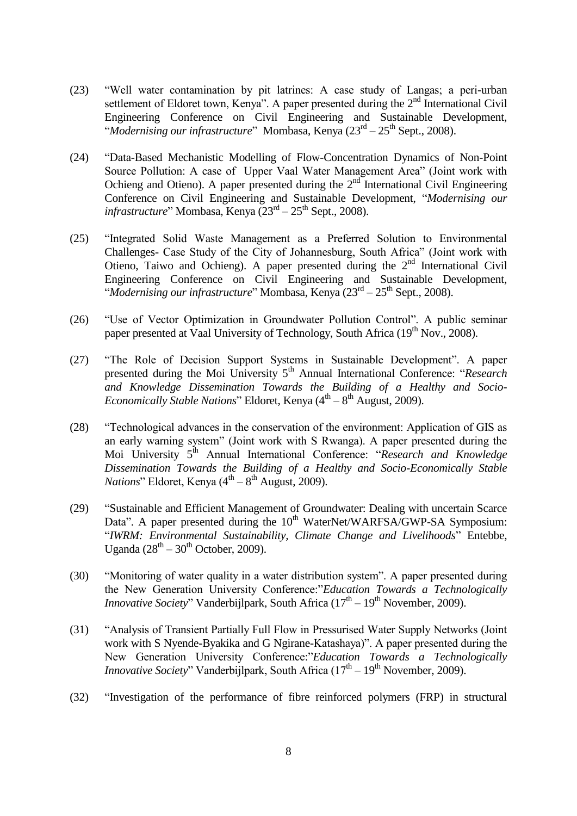- (23) "Well water contamination by pit latrines: A case study of Langas; a peri-urban settlement of Eldoret town, Kenya". A paper presented during the  $2<sup>nd</sup>$  International Civil Engineering Conference on Civil Engineering and Sustainable Development, "Modernising our infrastructure" Mombasa, Kenya (23<sup>rd</sup> – 25<sup>th</sup> Sept., 2008).
- (24) "Data-Based Mechanistic Modelling of Flow-Concentration Dynamics of Non-Point Source Pollution: A case of Upper Vaal Water Management Area" (Joint work with Ochieng and Otieno). A paper presented during the  $2<sup>nd</sup>$  International Civil Engineering Conference on Civil Engineering and Sustainable Development, "*Modernising our*  infrastructure" Mombasa, Kenya (23<sup>rd</sup> – 25<sup>th</sup> Sept., 2008).
- (25) "Integrated Solid Waste Management as a Preferred Solution to Environmental Challenges- Case Study of the City of Johannesburg, South Africa" (Joint work with Otieno, Taiwo and Ochieng). A paper presented during the  $2<sup>nd</sup>$  International Civil Engineering Conference on Civil Engineering and Sustainable Development, "Modernising our infrastructure" Mombasa, Kenya (23<sup>rd</sup> – 25<sup>th</sup> Sept., 2008).
- (26) "Use of Vector Optimization in Groundwater Pollution Control". A public seminar paper presented at Vaal University of Technology, South Africa  $(19<sup>th</sup> Nov., 2008)$ .
- (27) "The Role of Decision Support Systems in Sustainable Development". A paper presented during the Moi University 5th Annual International Conference: "*Research and Knowledge Dissemination Towards the Building of a Healthy and Socio-Economically Stable Nations*" Eldoret, Kenya (4<sup>th</sup> – 8<sup>th</sup> August, 2009).
- (28) "Technological advances in the conservation of the environment: Application of GIS as an early warning system" (Joint work with S Rwanga). A paper presented during the Moi University 5th Annual International Conference: "*Research and Knowledge Dissemination Towards the Building of a Healthy and Socio-Economically Stable Nations*" Eldoret, Kenya (4<sup>th</sup> – 8<sup>th</sup> August, 2009).
- (29) "Sustainable and Efficient Management of Groundwater: Dealing with uncertain Scarce Data". A paper presented during the 10<sup>th</sup> WaterNet/WARFSA/GWP-SA Symposium: "*IWRM: Environmental Sustainability, Climate Change and Livelihoods*" Entebbe, Uganda  $(28<sup>th</sup> - 30<sup>th</sup>$  October, 2009).
- (30) "Monitoring of water quality in a water distribution system". A paper presented during the New Generation University Conference:"*Education Towards a Technologically Innovative Society*" Vanderbijlpark, South Africa (17<sup>th</sup> – 19<sup>th</sup> November, 2009).
- (31) "Analysis of Transient Partially Full Flow in Pressurised Water Supply Networks (Joint work with S Nyende-Byakika and G Ngirane-Katashaya)". A paper presented during the New Generation University Conference:"*Education Towards a Technologically Innovative Society*" Vanderbijlpark, South Africa (17<sup>th</sup> – 19<sup>th</sup> November, 2009).
- (32) "Investigation of the performance of fibre reinforced polymers (FRP) in structural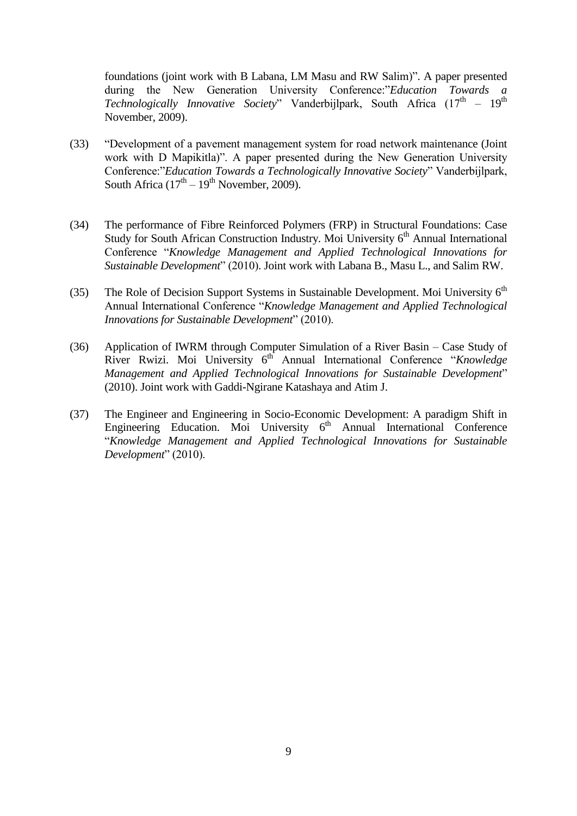foundations (joint work with B Labana, LM Masu and RW Salim)". A paper presented during the New Generation University Conference:"*Education Towards a*  Technologically Innovative Society" Vanderbijlpark, South Africa (17<sup>th</sup> - 19<sup>th</sup> November, 2009).

- (33) "Development of a pavement management system for road network maintenance (Joint work with D Mapikitla)". A paper presented during the New Generation University Conference:"*Education Towards a Technologically Innovative Society*" Vanderbijlpark, South Africa  $(17<sup>th</sup> – 19<sup>th</sup>$  November, 2009).
- (34) The performance of Fibre Reinforced Polymers (FRP) in Structural Foundations: Case Study for South African Construction Industry. Moi University  $6<sup>th</sup>$  Annual International Conference "*Knowledge Management and Applied Technological Innovations for Sustainable Development*" (2010). Joint work with Labana B., Masu L., and Salim RW.
- (35) The Role of Decision Support Systems in Sustainable Development. Moi University  $6<sup>th</sup>$ Annual International Conference "*Knowledge Management and Applied Technological Innovations for Sustainable Development*" (2010).
- (36) Application of IWRM through Computer Simulation of a River Basin Case Study of River Rwizi. Moi University 6<sup>th</sup> Annual International Conference "*Knowledge Management and Applied Technological Innovations for Sustainable Development*" (2010). Joint work with Gaddi-Ngirane Katashaya and Atim J.
- (37) The Engineer and Engineering in Socio-Economic Development: A paradigm Shift in Engineering Education. Moi University  $6<sup>th</sup>$  Annual International Conference "*Knowledge Management and Applied Technological Innovations for Sustainable Development*" (2010).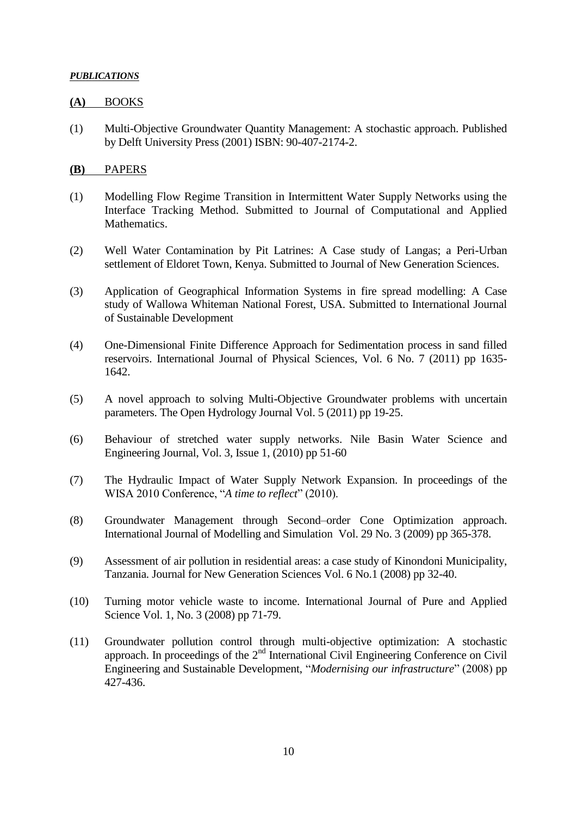### *PUBLICATIONS*

### **(A)** BOOKS

(1) Multi-Objective Groundwater Quantity Management: A stochastic approach. Published by Delft University Press (2001) ISBN: 90-407-2174-2.

### **(B)** PAPERS

- (1) Modelling Flow Regime Transition in Intermittent Water Supply Networks using the Interface Tracking Method. Submitted to Journal of Computational and Applied Mathematics.
- (2) Well Water Contamination by Pit Latrines: A Case study of Langas; a Peri-Urban settlement of Eldoret Town, Kenya. Submitted to Journal of New Generation Sciences.
- (3) Application of Geographical Information Systems in fire spread modelling: A Case study of Wallowa Whiteman National Forest, USA. Submitted to International Journal of Sustainable Development
- (4) One-Dimensional Finite Difference Approach for Sedimentation process in sand filled reservoirs. International Journal of Physical Sciences, Vol. 6 No. 7 (2011) pp 1635- 1642.
- (5) A novel approach to solving Multi-Objective Groundwater problems with uncertain parameters. The Open Hydrology Journal Vol. 5 (2011) pp 19-25.
- (6) Behaviour of stretched water supply networks. Nile Basin Water Science and Engineering Journal, Vol. 3, Issue 1, (2010) pp 51-60
- (7) The Hydraulic Impact of Water Supply Network Expansion. In proceedings of the WISA 2010 Conference, "*A time to reflect*" (2010).
- (8) Groundwater Management through Second–order Cone Optimization approach. International Journal of Modelling and Simulation Vol. 29 No. 3 (2009) pp 365-378.
- (9) Assessment of air pollution in residential areas: a case study of Kinondoni Municipality, Tanzania. Journal for New Generation Sciences Vol. 6 No.1 (2008) pp 32-40.
- (10) Turning motor vehicle waste to income. International Journal of Pure and Applied Science Vol. 1, No. 3 (2008) pp 71-79.
- (11) Groundwater pollution control through multi-objective optimization: A stochastic approach. In proceedings of the  $2<sup>nd</sup>$  International Civil Engineering Conference on Civil Engineering and Sustainable Development, "*Modernising our infrastructure*" (2008) pp 427-436.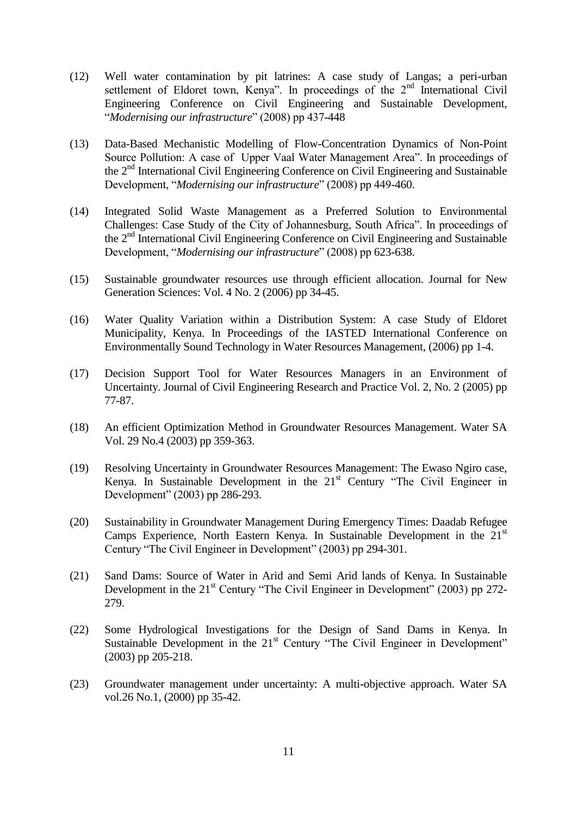- (12) Well water contamination by pit latrines: A case study of Langas; a peri-urban settlement of Eldoret town, Kenya". In proceedings of the  $2<sup>nd</sup>$  International Civil Engineering Conference on Civil Engineering and Sustainable Development, "*Modernising our infrastructure*" (2008) pp 437-448
- (13) Data-Based Mechanistic Modelling of Flow-Concentration Dynamics of Non-Point Source Pollution: A case of Upper Vaal Water Management Area". In proceedings of the 2<sup>nd</sup> International Civil Engineering Conference on Civil Engineering and Sustainable Development, "*Modernising our infrastructure*" (2008) pp 449-460.
- (14) Integrated Solid Waste Management as a Preferred Solution to Environmental Challenges: Case Study of the City of Johannesburg, South Africa". In proceedings of the 2nd International Civil Engineering Conference on Civil Engineering and Sustainable Development, "*Modernising our infrastructure*" (2008) pp 623-638.
- (15) Sustainable groundwater resources use through efficient allocation. Journal for New Generation Sciences: Vol. 4 No. 2 (2006) pp 34-45.
- (16) Water Quality Variation within a Distribution System: A case Study of Eldoret Municipality, Kenya. In Proceedings of the IASTED International Conference on Environmentally Sound Technology in Water Resources Management, (2006) pp 1-4.
- (17) Decision Support Tool for Water Resources Managers in an Environment of Uncertainty. Journal of Civil Engineering Research and Practice Vol. 2, No. 2 (2005) pp 77-87.
- (18) An efficient Optimization Method in Groundwater Resources Management. Water SA Vol. 29 No.4 (2003) pp 359-363.
- (19) Resolving Uncertainty in Groundwater Resources Management: The Ewaso Ngiro case, Kenya. In Sustainable Development in the 21<sup>st</sup> Century "The Civil Engineer in Development" (2003) pp 286-293.
- (20) Sustainability in Groundwater Management During Emergency Times: Daadab Refugee Camps Experience, North Eastern Kenya. In Sustainable Development in the  $21<sup>st</sup>$ Century "The Civil Engineer in Development" (2003) pp 294-301.
- (21) Sand Dams: Source of Water in Arid and Semi Arid lands of Kenya. In Sustainable Development in the  $21<sup>st</sup>$  Century "The Civil Engineer in Development" (2003) pp 272-279.
- (22) Some Hydrological Investigations for the Design of Sand Dams in Kenya. In Sustainable Development in the 21<sup>st</sup> Century "The Civil Engineer in Development" (2003) pp 205-218.
- (23) Groundwater management under uncertainty: A multi-objective approach. Water SA vol.26 No.1, (2000) pp 35-42.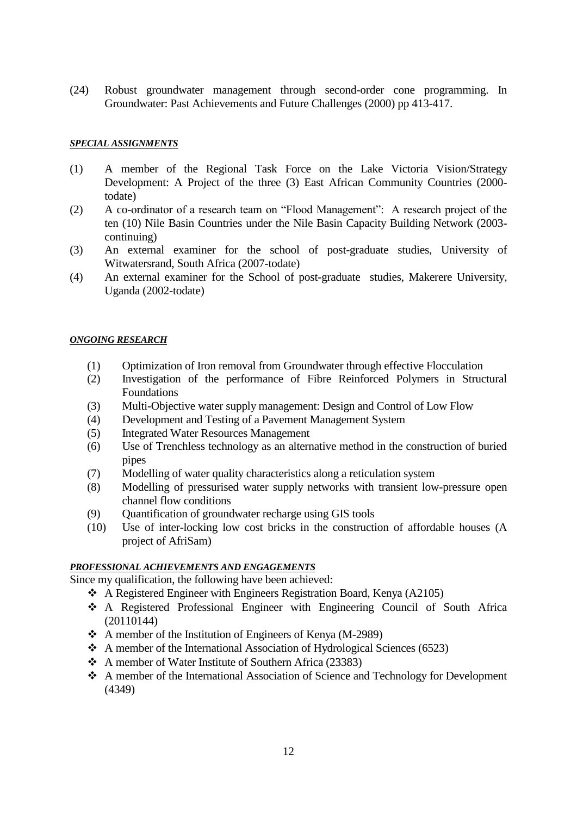(24) Robust groundwater management through second-order cone programming. In Groundwater: Past Achievements and Future Challenges (2000) pp 413-417.

#### *SPECIAL ASSIGNMENTS*

- (1) A member of the Regional Task Force on the Lake Victoria Vision/Strategy Development: A Project of the three (3) East African Community Countries (2000 todate)
- (2) A co-ordinator of a research team on "Flood Management": A research project of the ten (10) Nile Basin Countries under the Nile Basin Capacity Building Network (2003 continuing)
- (3) An external examiner for the school of post-graduate studies, University of Witwatersrand, South Africa (2007-todate)
- (4) An external examiner for the School of post-graduate studies, Makerere University, Uganda (2002-todate)

### *ONGOING RESEARCH*

- (1) Optimization of Iron removal from Groundwater through effective Flocculation
- (2) Investigation of the performance of Fibre Reinforced Polymers in Structural Foundations
- (3) Multi-Objective water supply management: Design and Control of Low Flow
- (4) Development and Testing of a Pavement Management System
- (5) Integrated Water Resources Management
- (6) Use of Trenchless technology as an alternative method in the construction of buried pipes
- (7) Modelling of water quality characteristics along a reticulation system
- (8) Modelling of pressurised water supply networks with transient low-pressure open channel flow conditions
- (9) Quantification of groundwater recharge using GIS tools
- (10) Use of inter-locking low cost bricks in the construction of affordable houses (A project of AfriSam)

### *PROFESSIONAL ACHIEVEMENTS AND ENGAGEMENTS*

Since my qualification, the following have been achieved:

- A Registered Engineer with Engineers Registration Board, Kenya (A2105)
- A Registered Professional Engineer with Engineering Council of South Africa (20110144)
- A member of the Institution of Engineers of Kenya (M-2989)
- A member of the International Association of Hydrological Sciences (6523)
- A member of Water Institute of Southern Africa (23383)
- A member of the International Association of Science and Technology for Development (4349)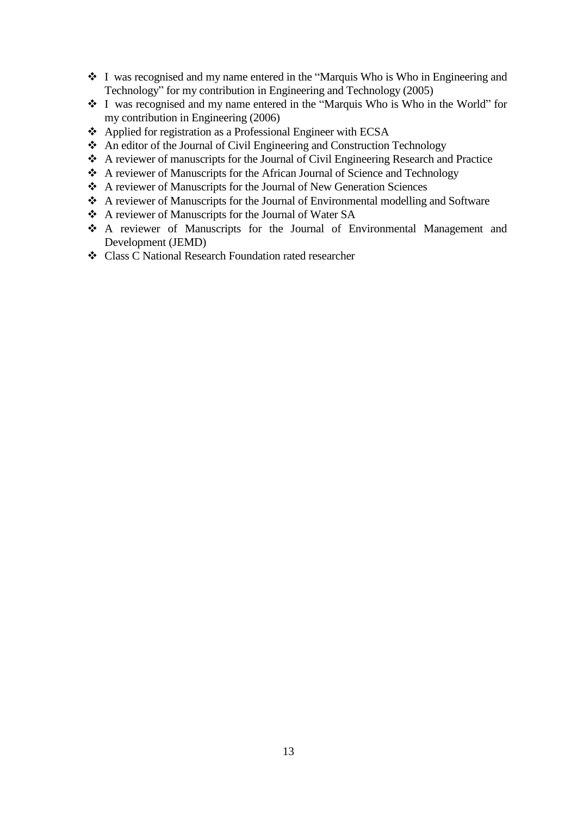- I was recognised and my name entered in the "Marquis Who is Who in Engineering and Technology" for my contribution in Engineering and Technology (2005)
- I was recognised and my name entered in the "Marquis Who is Who in the World" for my contribution in Engineering (2006)
- Applied for registration as a Professional Engineer with ECSA
- An editor of the Journal of Civil Engineering and Construction Technology
- A reviewer of manuscripts for the Journal of Civil Engineering Research and Practice
- A reviewer of Manuscripts for the African Journal of Science and Technology
- A reviewer of Manuscripts for the Journal of New Generation Sciences
- A reviewer of Manuscripts for the Journal of Environmental modelling and Software
- A reviewer of Manuscripts for the Journal of Water SA
- A reviewer of Manuscripts for the Journal of Environmental Management and Development (JEMD)
- Class C National Research Foundation rated researcher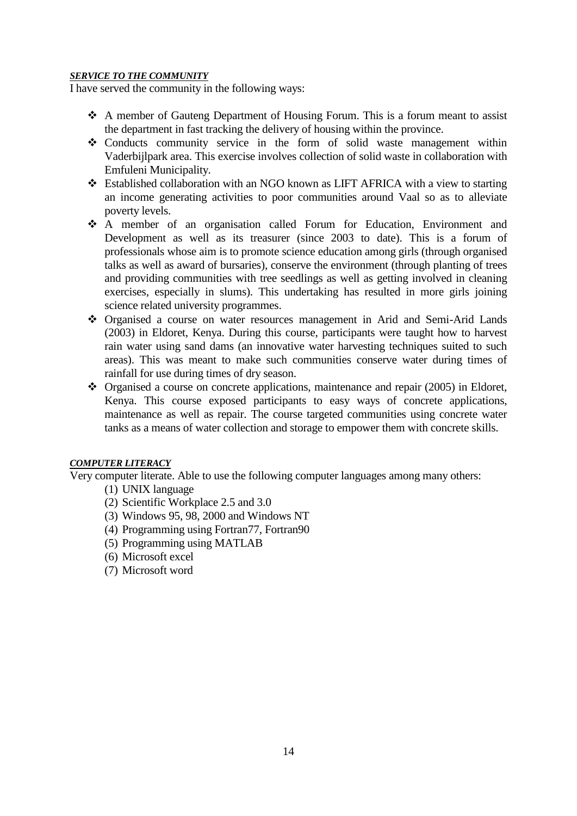### *SERVICE TO THE COMMUNITY*

I have served the community in the following ways:

- A member of Gauteng Department of Housing Forum. This is a forum meant to assist the department in fast tracking the delivery of housing within the province.
- Conducts community service in the form of solid waste management within Vaderbijlpark area. This exercise involves collection of solid waste in collaboration with Emfuleni Municipality.
- Established collaboration with an NGO known as LIFT AFRICA with a view to starting an income generating activities to poor communities around Vaal so as to alleviate poverty levels.
- A member of an organisation called Forum for Education, Environment and Development as well as its treasurer (since 2003 to date). This is a forum of professionals whose aim is to promote science education among girls (through organised talks as well as award of bursaries), conserve the environment (through planting of trees and providing communities with tree seedlings as well as getting involved in cleaning exercises, especially in slums). This undertaking has resulted in more girls joining science related university programmes.
- Organised a course on water resources management in Arid and Semi-Arid Lands (2003) in Eldoret, Kenya. During this course, participants were taught how to harvest rain water using sand dams (an innovative water harvesting techniques suited to such areas). This was meant to make such communities conserve water during times of rainfall for use during times of dry season.
- Organised a course on concrete applications, maintenance and repair (2005) in Eldoret, Kenya. This course exposed participants to easy ways of concrete applications, maintenance as well as repair. The course targeted communities using concrete water tanks as a means of water collection and storage to empower them with concrete skills.

# *COMPUTER LITERACY*

Very computer literate. Able to use the following computer languages among many others:

- (1) UNIX language
- (2) Scientific Workplace 2.5 and 3.0
- (3) Windows 95, 98, 2000 and Windows NT
- (4) Programming using Fortran77, Fortran90
- (5) Programming using MATLAB
- (6) Microsoft excel
- (7) Microsoft word